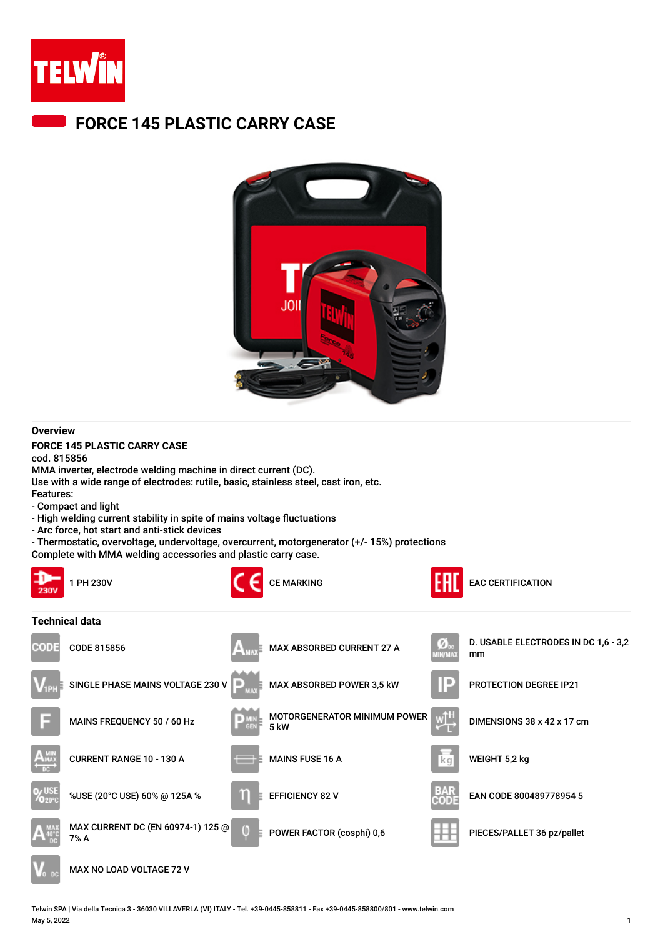

## **FORCE 145 PLASTIC CARRY CASE**



## **Overview**

**FORCE 145 PLASTIC CARRY CASE**

cod. 815856 MMA inverter, electrode welding machine in direct current (DC).

Use with a wide range of electrodes: rutile, basic, stainless steel, cast iron, etc.

- Features:
- Compact and light
- High welding current stability in spite of mains voltage fluctuations
- Arc force, hot start and anti-stick devices
- Thermostatic, overvoltage, undervoltage, overcurrent, motorgenerator (+/- 15%) protections

Complete with MMA welding accessories and plastic carry case.